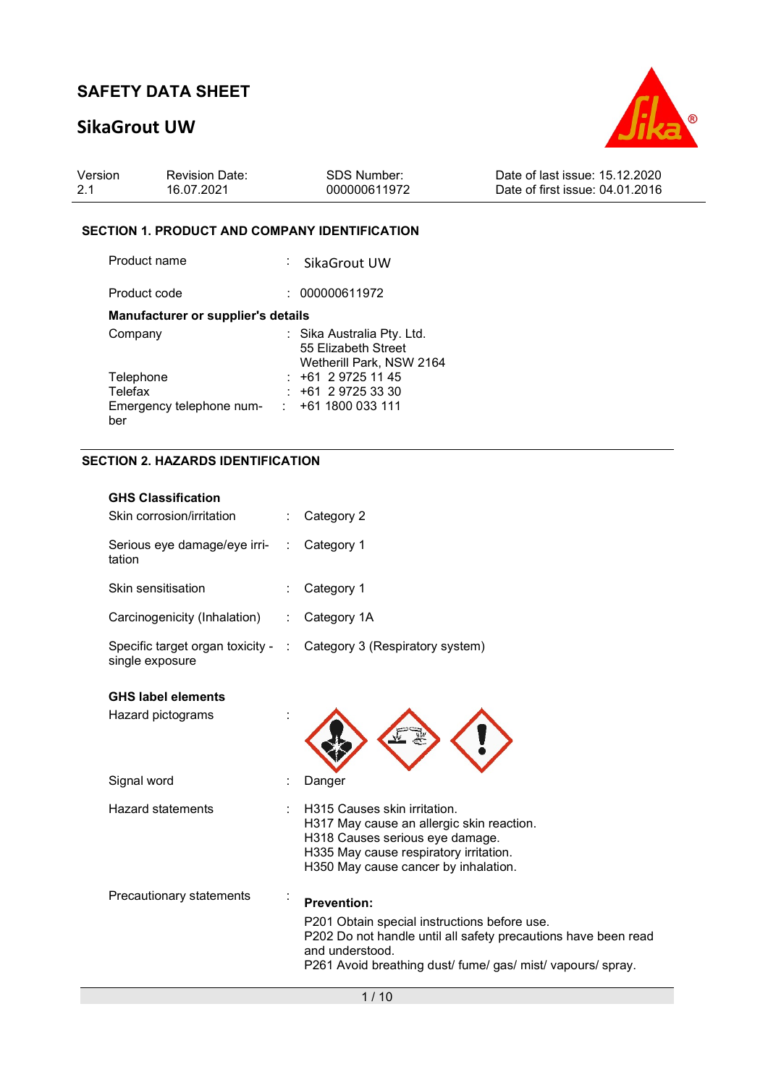# SikaGrout UW



| Version | <b>Revision Date:</b> | SDS Number:  | Date of last issue: 15.12.2020  |
|---------|-----------------------|--------------|---------------------------------|
| 2.1     | 16.07.2021            | 000000611972 | Date of first issue: 04.01.2016 |

### SECTION 1. PRODUCT AND COMPANY IDENTIFICATION

| Product name                              | : SikaGrout UW                                    |
|-------------------------------------------|---------------------------------------------------|
| Product code                              | 000000611972                                      |
| <b>Manufacturer or supplier's details</b> |                                                   |
| Company                                   | : Sika Australia Pty. Ltd.<br>55 Elizabeth Street |
|                                           | Wetherill Park, NSW 2164                          |
| Telephone                                 | $: +61297251145$                                  |
| Telefax                                   | $+61$ 2 9725 33 30                                |
| Emergency telephone num-                  | $: +611800033111$                                 |
| ber                                       |                                                   |

### SECTION 2. HAZARDS IDENTIFICATION

| <b>GHS Classification</b><br>Skin corrosion/irritation |                      | Category 2                                                                                                                                                                                                             |
|--------------------------------------------------------|----------------------|------------------------------------------------------------------------------------------------------------------------------------------------------------------------------------------------------------------------|
| Serious eye damage/eye irri-<br>tation                 |                      | Category 1                                                                                                                                                                                                             |
| Skin sensitisation                                     |                      | Category 1                                                                                                                                                                                                             |
| Carcinogenicity (Inhalation)                           | $\ddot{\phantom{a}}$ | Category 1A                                                                                                                                                                                                            |
| Specific target organ toxicity - :<br>single exposure  |                      | Category 3 (Respiratory system)                                                                                                                                                                                        |
| <b>GHS label elements</b>                              |                      |                                                                                                                                                                                                                        |
| Hazard pictograms                                      |                      |                                                                                                                                                                                                                        |
| Signal word                                            |                      | Danger                                                                                                                                                                                                                 |
| Hazard statements                                      |                      | H315 Causes skin irritation.<br>H317 May cause an allergic skin reaction.<br>H318 Causes serious eye damage.<br>H335 May cause respiratory irritation.<br>H350 May cause cancer by inhalation.                         |
| Precautionary statements                               |                      | <b>Prevention:</b><br>P201 Obtain special instructions before use.<br>P202 Do not handle until all safety precautions have been read<br>and understood.<br>P261 Avoid breathing dust/ fume/ gas/ mist/ vapours/ spray. |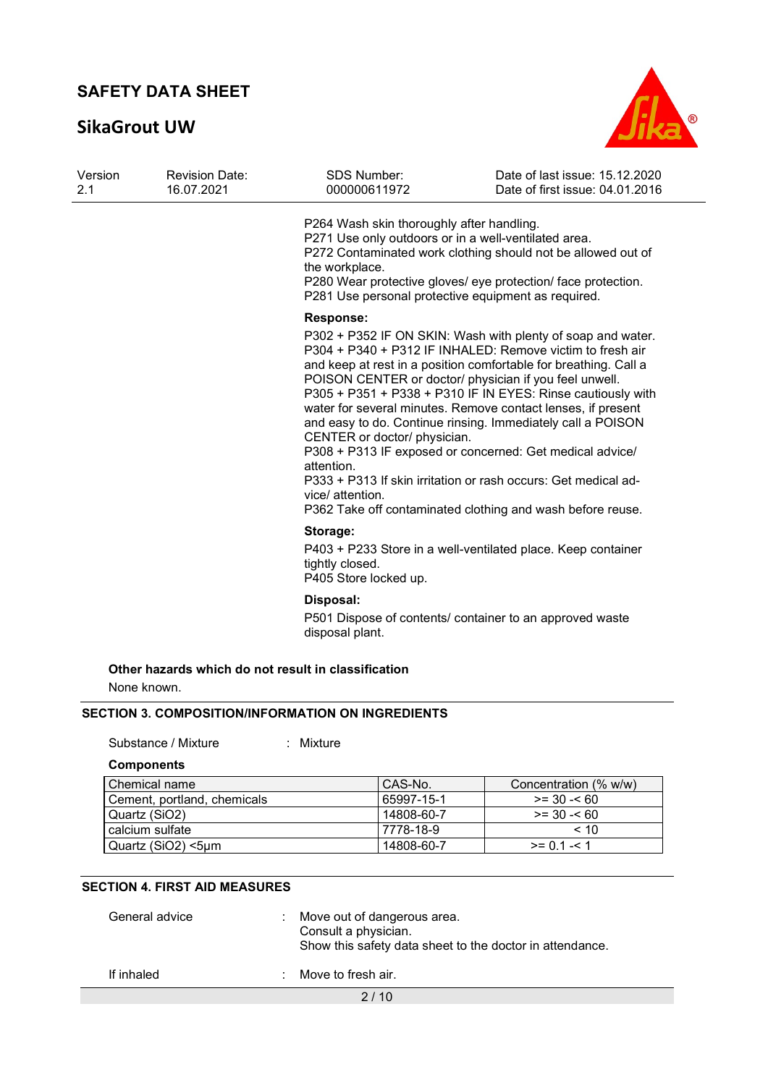# SikaGrout UW



| Version<br>2.1 | <b>Revision Date:</b><br>16.07.2021 | SDS Number:<br>000000611972                                                                                                                                                | Date of last issue: 15.12.2020<br>Date of first issue: 04.01.2016                                                                                                                                                                                                                                                                                                                                                                                                                                                                                                                                                                                |
|----------------|-------------------------------------|----------------------------------------------------------------------------------------------------------------------------------------------------------------------------|--------------------------------------------------------------------------------------------------------------------------------------------------------------------------------------------------------------------------------------------------------------------------------------------------------------------------------------------------------------------------------------------------------------------------------------------------------------------------------------------------------------------------------------------------------------------------------------------------------------------------------------------------|
|                |                                     | P264 Wash skin thoroughly after handling.<br>P271 Use only outdoors or in a well-ventilated area.<br>the workplace.<br>P281 Use personal protective equipment as required. | P272 Contaminated work clothing should not be allowed out of<br>P280 Wear protective gloves/ eye protection/ face protection.                                                                                                                                                                                                                                                                                                                                                                                                                                                                                                                    |
|                |                                     | <b>Response:</b><br>CENTER or doctor/ physician.<br>attention.<br>vice/ attention.                                                                                         | P302 + P352 IF ON SKIN: Wash with plenty of soap and water.<br>P304 + P340 + P312 IF INHALED: Remove victim to fresh air<br>and keep at rest in a position comfortable for breathing. Call a<br>POISON CENTER or doctor/ physician if you feel unwell.<br>P305 + P351 + P338 + P310 IF IN EYES: Rinse cautiously with<br>water for several minutes. Remove contact lenses, if present<br>and easy to do. Continue rinsing. Immediately call a POISON<br>P308 + P313 IF exposed or concerned: Get medical advice/<br>P333 + P313 If skin irritation or rash occurs: Get medical ad-<br>P362 Take off contaminated clothing and wash before reuse. |
|                |                                     | Storage:<br>tightly closed.<br>P405 Store locked up.                                                                                                                       | P403 + P233 Store in a well-ventilated place. Keep container                                                                                                                                                                                                                                                                                                                                                                                                                                                                                                                                                                                     |
|                |                                     | Disposal:<br>disposal plant.                                                                                                                                               | P501 Dispose of contents/ container to an approved waste                                                                                                                                                                                                                                                                                                                                                                                                                                                                                                                                                                                         |
| None known.    |                                     | Other hazards which do not result in classification                                                                                                                        |                                                                                                                                                                                                                                                                                                                                                                                                                                                                                                                                                                                                                                                  |

### SECTION 3. COMPOSITION/INFORMATION ON INGREDIENTS

Substance / Mixture : Mixture

**Components** 

Ξ

| Chemical name               | CAS-No.    | Concentration (% w/w) |
|-----------------------------|------------|-----------------------|
| Cement, portland, chemicals | 65997-15-1 | $>= 30 - 60$          |
| Quartz (SiO2)               | 14808-60-7 | $>= 30 - 60$          |
| calcium sulfate             | 7778-18-9  | < 10                  |
| Quartz (SiO2) <5µm          | 14808-60-7 | $>= 0.1 - 1.1$        |

### SECTION 4. FIRST AID MEASURES

| General advice |  | Move out of dangerous area.<br>Consult a physician.<br>Show this safety data sheet to the doctor in attendance. |
|----------------|--|-----------------------------------------------------------------------------------------------------------------|
| If inhaled     |  | Move to fresh air.                                                                                              |
|                |  | 2/10                                                                                                            |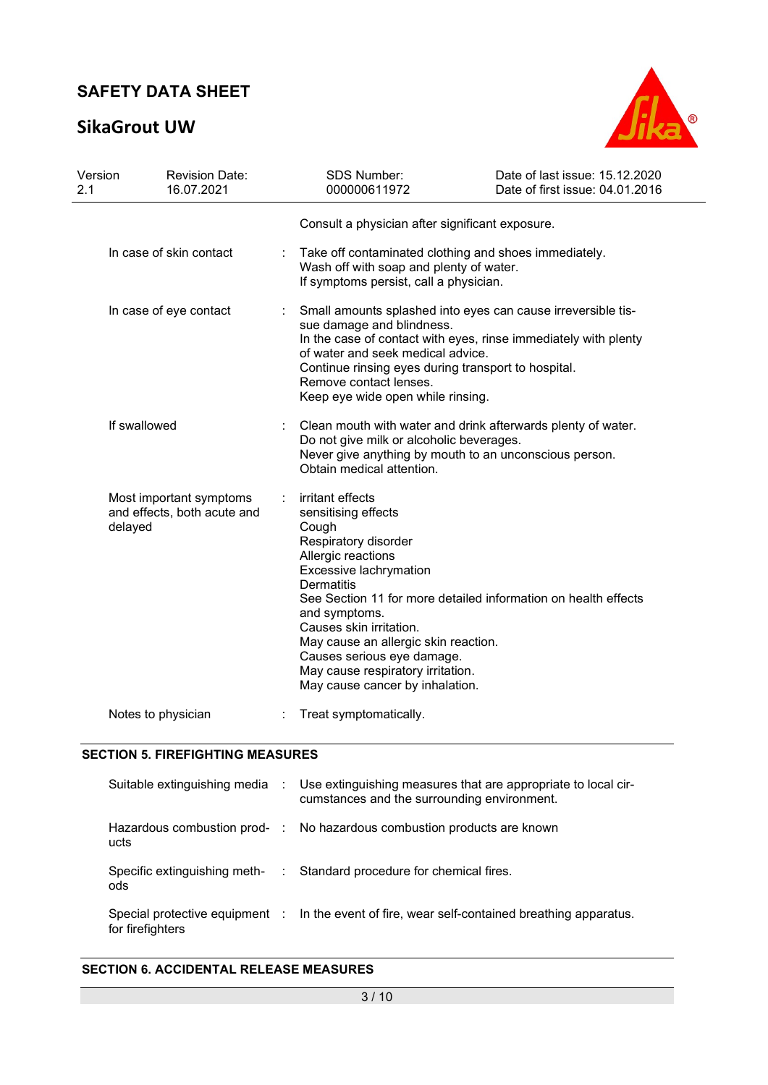# SikaGrout UW



| Version<br>2.1                                                    |                         | <b>Revision Date:</b><br>16.07.2021                                                                                                                                                                                                                                                                                                                                                                       | <b>SDS Number:</b><br>000000611972                                                                                                         | Date of last issue: 15.12.2020<br>Date of first issue: 04.01.2016 |  |  |
|-------------------------------------------------------------------|-------------------------|-----------------------------------------------------------------------------------------------------------------------------------------------------------------------------------------------------------------------------------------------------------------------------------------------------------------------------------------------------------------------------------------------------------|--------------------------------------------------------------------------------------------------------------------------------------------|-------------------------------------------------------------------|--|--|
|                                                                   |                         | Consult a physician after significant exposure.                                                                                                                                                                                                                                                                                                                                                           |                                                                                                                                            |                                                                   |  |  |
|                                                                   | In case of skin contact |                                                                                                                                                                                                                                                                                                                                                                                                           | Take off contaminated clothing and shoes immediately.<br>Wash off with soap and plenty of water.<br>If symptoms persist, call a physician. |                                                                   |  |  |
| In case of eye contact<br>If swallowed                            |                         | Small amounts splashed into eyes can cause irreversible tis-<br>sue damage and blindness.<br>In the case of contact with eyes, rinse immediately with plenty<br>of water and seek medical advice.<br>Continue rinsing eyes during transport to hospital.<br>Remove contact lenses.<br>Keep eye wide open while rinsing.                                                                                   |                                                                                                                                            |                                                                   |  |  |
|                                                                   |                         | Clean mouth with water and drink afterwards plenty of water.<br>Do not give milk or alcoholic beverages.<br>Never give anything by mouth to an unconscious person.<br>Obtain medical attention.                                                                                                                                                                                                           |                                                                                                                                            |                                                                   |  |  |
| Most important symptoms<br>and effects, both acute and<br>delayed |                         | irritant effects<br>sensitising effects<br>Cough<br>Respiratory disorder<br>Allergic reactions<br>Excessive lachrymation<br><b>Dermatitis</b><br>See Section 11 for more detailed information on health effects<br>and symptoms.<br>Causes skin irritation.<br>May cause an allergic skin reaction.<br>Causes serious eye damage.<br>May cause respiratory irritation.<br>May cause cancer by inhalation. |                                                                                                                                            |                                                                   |  |  |
|                                                                   | Notes to physician      |                                                                                                                                                                                                                                                                                                                                                                                                           | Treat symptomatically.                                                                                                                     |                                                                   |  |  |

### SECTION 5. FIREFIGHTING MEASURES

|                  | Suitable extinguishing media : Use extinguishing measures that are appropriate to local cir-<br>cumstances and the surrounding environment. |
|------------------|---------------------------------------------------------------------------------------------------------------------------------------------|
| ucts             | Hazardous combustion prod- : No hazardous combustion products are known                                                                     |
| ods              | Specific extinguishing meth- : Standard procedure for chemical fires.                                                                       |
| for firefighters | Special protective equipment : In the event of fire, wear self-contained breathing apparatus.                                               |

#### SECTION 6. ACCIDENTAL RELEASE MEASURES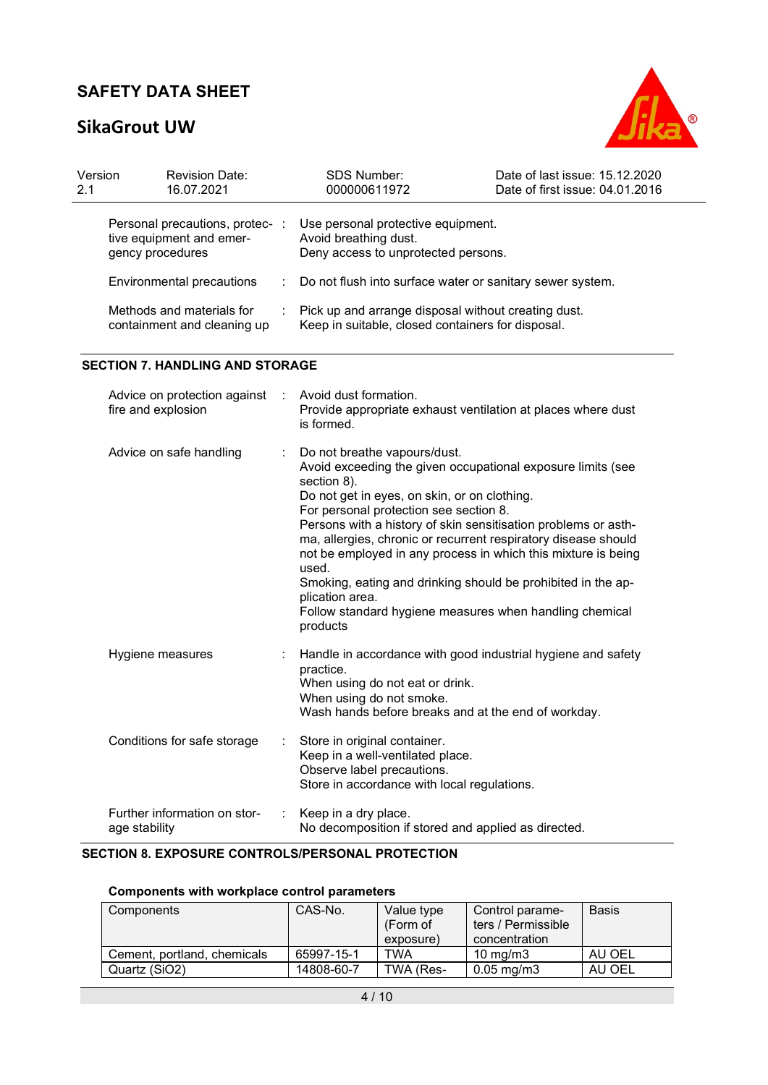# SikaGrout UW



| Version<br>2.1 | <b>Revision Date:</b><br>16.07.2021                                           |     | SDS Number:<br>000000611972                                                                              | Date of last issue: 15.12.2020<br>Date of first issue: 04.01.2016 |  |
|----------------|-------------------------------------------------------------------------------|-----|----------------------------------------------------------------------------------------------------------|-------------------------------------------------------------------|--|
|                | Personal precautions, protec-<br>tive equipment and emer-<br>gency procedures | -11 | Use personal protective equipment.<br>Avoid breathing dust.<br>Deny access to unprotected persons.       |                                                                   |  |
|                | Environmental precautions                                                     |     | : Do not flush into surface water or sanitary sewer system.                                              |                                                                   |  |
|                | Methods and materials for<br>containment and cleaning up                      |     | Pick up and arrange disposal without creating dust.<br>Keep in suitable, closed containers for disposal. |                                                                   |  |
|                | <b>SECTION 7. HANDLING AND STORAGE</b>                                        |     |                                                                                                          |                                                                   |  |

| Advice on protection against :<br>fire and explosion | Avoid dust formation.<br>Provide appropriate exhaust ventilation at places where dust<br>is formed.                                                                                                                                                                                                                                                                                                                                                                                                                                                                            |
|------------------------------------------------------|--------------------------------------------------------------------------------------------------------------------------------------------------------------------------------------------------------------------------------------------------------------------------------------------------------------------------------------------------------------------------------------------------------------------------------------------------------------------------------------------------------------------------------------------------------------------------------|
| Advice on safe handling                              | : Do not breathe vapours/dust.<br>Avoid exceeding the given occupational exposure limits (see<br>section 8).<br>Do not get in eyes, on skin, or on clothing.<br>For personal protection see section 8.<br>Persons with a history of skin sensitisation problems or asth-<br>ma, allergies, chronic or recurrent respiratory disease should<br>not be employed in any process in which this mixture is being<br>used.<br>Smoking, eating and drinking should be prohibited in the ap-<br>plication area.<br>Follow standard hygiene measures when handling chemical<br>products |
| Hygiene measures                                     | Handle in accordance with good industrial hygiene and safety<br>practice.<br>When using do not eat or drink.<br>When using do not smoke.<br>Wash hands before breaks and at the end of workday.                                                                                                                                                                                                                                                                                                                                                                                |
| Conditions for safe storage                          | Store in original container.<br>Keep in a well-ventilated place.<br>Observe label precautions.<br>Store in accordance with local regulations.                                                                                                                                                                                                                                                                                                                                                                                                                                  |
| Further information on stor-<br>age stability        | Keep in a dry place.<br>No decomposition if stored and applied as directed.                                                                                                                                                                                                                                                                                                                                                                                                                                                                                                    |

#### SECTION 8. EXPOSURE CONTROLS/PERSONAL PROTECTION

### Components with workplace control parameters

| Components                  | CAS-No.    | Value type<br>(Form of<br>exposure) | Control parame-<br>ters / Permissible<br>concentration | <b>Basis</b> |
|-----------------------------|------------|-------------------------------------|--------------------------------------------------------|--------------|
| Cement, portland, chemicals | 65997-15-1 | TWA                                 | $10 \text{ ma/m}$ 3                                    | AU OEL       |
| Quartz (SiO2)               | 14808-60-7 | TWA (Res-                           | $0.05 \,\mathrm{mg/m3}$                                | AU OEL       |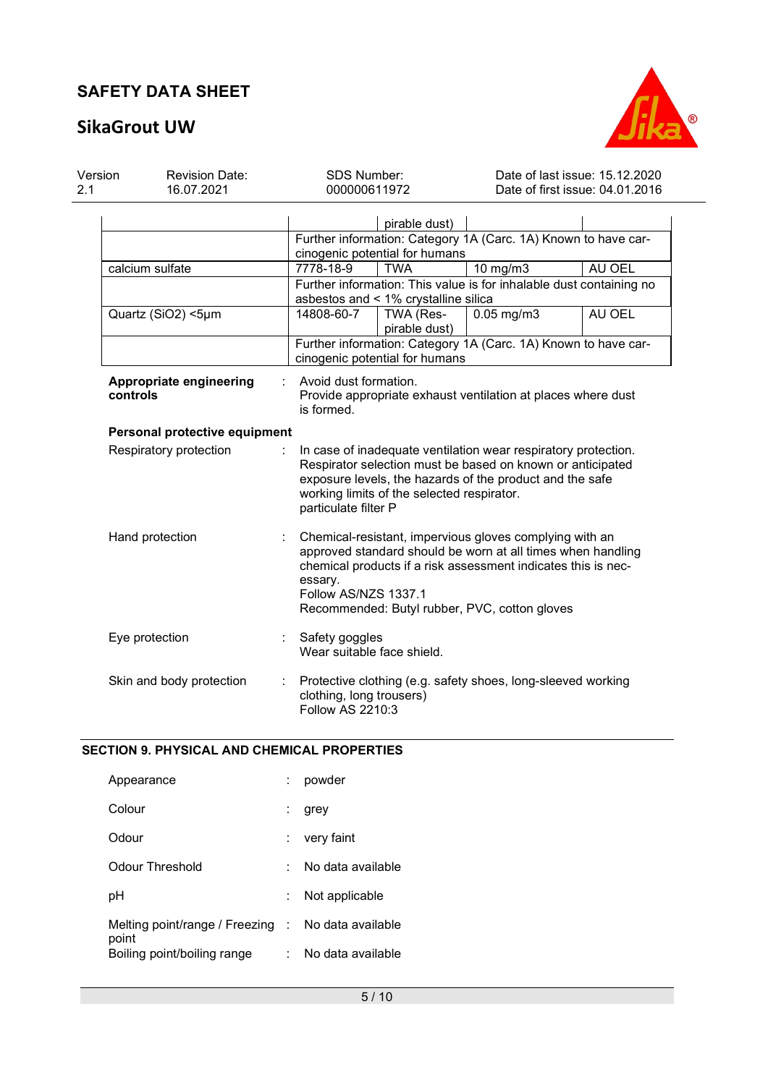# SikaGrout UW



| Version<br>2.1                                                                                                                                                                                                                                                                           | <b>Revision Date:</b><br>16.07.2021 | <b>SDS Number:</b><br>000000611972                                                                                                                                                                                                                                          |                                                                                       | Date of last issue: 15.12.2020<br>Date of first issue: 04.01.2016   |        |  |
|------------------------------------------------------------------------------------------------------------------------------------------------------------------------------------------------------------------------------------------------------------------------------------------|-------------------------------------|-----------------------------------------------------------------------------------------------------------------------------------------------------------------------------------------------------------------------------------------------------------------------------|---------------------------------------------------------------------------------------|---------------------------------------------------------------------|--------|--|
|                                                                                                                                                                                                                                                                                          |                                     |                                                                                                                                                                                                                                                                             | pirable dust)<br>cinogenic potential for humans                                       | Further information: Category 1A (Carc. 1A) Known to have car-      |        |  |
|                                                                                                                                                                                                                                                                                          | calcium sulfate                     | 7778-18-9                                                                                                                                                                                                                                                                   | <b>TWA</b>                                                                            | $10$ mg/m $3$                                                       | AU OEL |  |
|                                                                                                                                                                                                                                                                                          |                                     |                                                                                                                                                                                                                                                                             | asbestos and < 1% crystalline silica                                                  | Further information: This value is for inhalable dust containing no |        |  |
|                                                                                                                                                                                                                                                                                          | Quartz (SiO2) <5µm                  | 14808-60-7                                                                                                                                                                                                                                                                  | TWA (Res-<br>pirable dust)                                                            | $0.05$ mg/m $3$                                                     | AU OEL |  |
|                                                                                                                                                                                                                                                                                          |                                     |                                                                                                                                                                                                                                                                             | cinogenic potential for humans                                                        | Further information: Category 1A (Carc. 1A) Known to have car-      |        |  |
|                                                                                                                                                                                                                                                                                          | Appropriate engineering<br>controls | is formed.                                                                                                                                                                                                                                                                  | Avoid dust formation.<br>Provide appropriate exhaust ventilation at places where dust |                                                                     |        |  |
|                                                                                                                                                                                                                                                                                          | Personal protective equipment       |                                                                                                                                                                                                                                                                             |                                                                                       |                                                                     |        |  |
| Respiratory protection<br>In case of inadequate ventilation wear respiratory protection.<br>Respirator selection must be based on known or anticipated<br>exposure levels, the hazards of the product and the safe<br>working limits of the selected respirator.<br>particulate filter P |                                     |                                                                                                                                                                                                                                                                             |                                                                                       |                                                                     |        |  |
|                                                                                                                                                                                                                                                                                          | Hand protection                     | Chemical-resistant, impervious gloves complying with an<br>approved standard should be worn at all times when handling<br>chemical products if a risk assessment indicates this is nec-<br>essary.<br>Follow AS/NZS 1337.1<br>Recommended: Butyl rubber, PVC, cotton gloves |                                                                                       |                                                                     |        |  |
| Safety goggles<br>Eye protection<br>Wear suitable face shield.                                                                                                                                                                                                                           |                                     |                                                                                                                                                                                                                                                                             |                                                                                       |                                                                     |        |  |
|                                                                                                                                                                                                                                                                                          | Skin and body protection            | Protective clothing (e.g. safety shoes, long-sleeved working<br>clothing, long trousers)<br>Follow AS 2210:3                                                                                                                                                                |                                                                                       |                                                                     |        |  |

### SECTION 9. PHYSICAL AND CHEMICAL PROPERTIES

| Appearance                                | powder            |
|-------------------------------------------|-------------------|
| Colour                                    | grey              |
| Odour                                     | very faint        |
| Odour Threshold                           | No data available |
| рH                                        | Not applicable    |
| Melting point/range / Freezing :<br>point | No data available |
| Boiling point/boiling range               | No data available |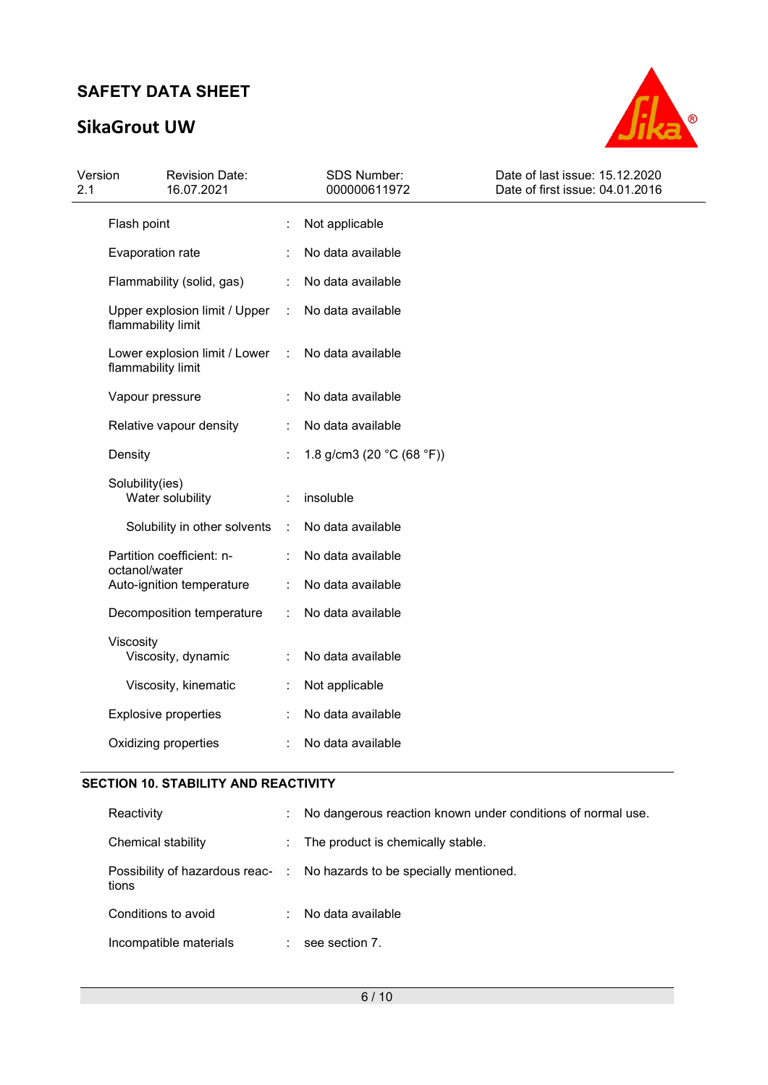# SikaGrout UW



| Version<br><b>Revision Date:</b><br>2.1<br>16.07.2021 |                      | SDS Number:<br>000000611972 | Date of last issue: 15.12.2020<br>Date of first issue: 04.01.2016 |
|-------------------------------------------------------|----------------------|-----------------------------|-------------------------------------------------------------------|
| Flash point                                           |                      | Not applicable              |                                                                   |
| Evaporation rate                                      |                      | No data available           |                                                                   |
| Flammability (solid, gas)                             |                      | No data available           |                                                                   |
| Upper explosion limit / Upper<br>flammability limit   | $\ddot{\phantom{a}}$ | No data available           |                                                                   |
| Lower explosion limit / Lower<br>flammability limit   | ÷                    | No data available           |                                                                   |
| Vapour pressure                                       |                      | No data available           |                                                                   |
| Relative vapour density                               |                      | No data available           |                                                                   |
| Density                                               |                      | 1.8 g/cm3 (20 $°C$ (68 °F)) |                                                                   |
| Solubility(ies)<br>Water solubility                   |                      | insoluble                   |                                                                   |
| Solubility in other solvents                          | ÷                    | No data available           |                                                                   |
| Partition coefficient: n-                             |                      | No data available           |                                                                   |
| octanol/water<br>Auto-ignition temperature            |                      | No data available           |                                                                   |
| Decomposition temperature                             |                      | No data available           |                                                                   |
| Viscosity<br>Viscosity, dynamic                       |                      | No data available           |                                                                   |
| Viscosity, kinematic                                  |                      | Not applicable              |                                                                   |
| <b>Explosive properties</b>                           |                      | No data available           |                                                                   |
| Oxidizing properties                                  |                      | No data available           |                                                                   |

### SECTION 10. STABILITY AND REACTIVITY

| Reactivity                                | ÷                            | No dangerous reaction known under conditions of normal use. |
|-------------------------------------------|------------------------------|-------------------------------------------------------------|
| Chemical stability                        | $\mathcal{L}_{\mathrm{max}}$ | The product is chemically stable.                           |
| Possibility of hazardous reac- :<br>tions |                              | No hazards to be specially mentioned.                       |
| Conditions to avoid                       | ÷                            | No data available                                           |
| Incompatible materials                    |                              | see section 7.                                              |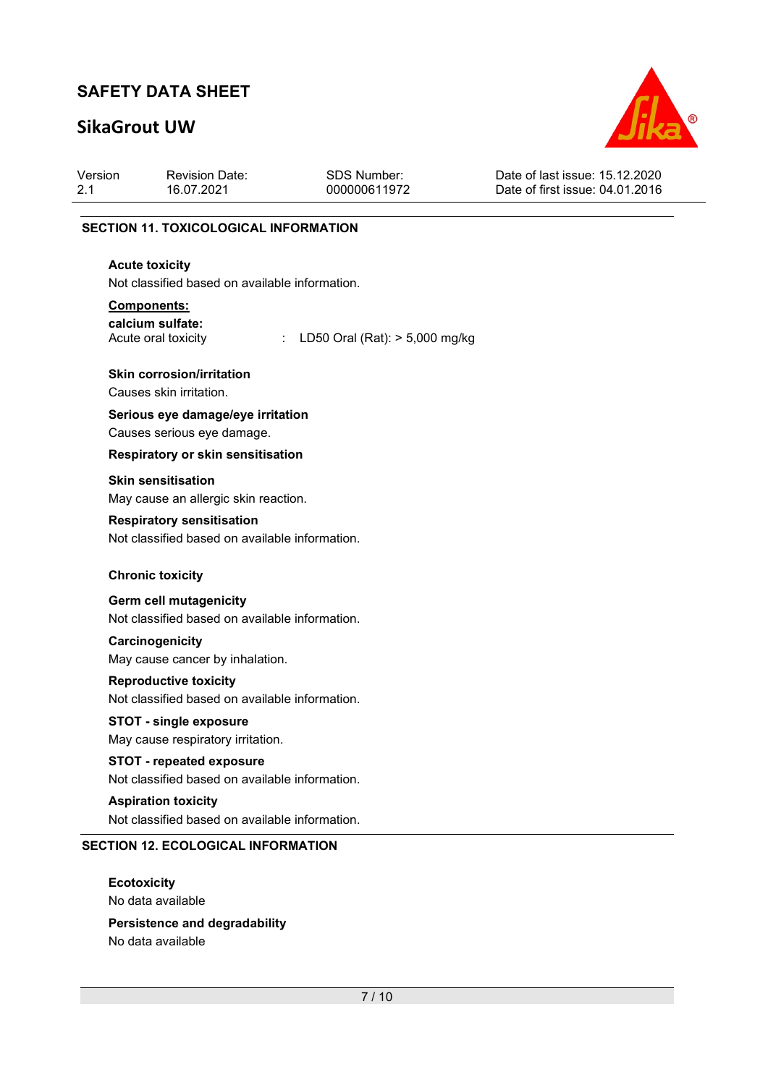## SikaGrout UW



| Version | <b>Revision Date:</b>                        | SDS Number:  | Date of last issue: 15.12.2020  |
|---------|----------------------------------------------|--------------|---------------------------------|
| 2.1     | 16.07.2021                                   | 000000611972 | Date of first issue: 04.01.2016 |
|         | <b>SECTION 11. TOXICOLOGICAL INFORMATION</b> |              |                                 |

### Acute toxicity

Not classified based on available information.

#### Components:

calcium sulfate:

Acute oral toxicity : LD50 Oral (Rat): > 5,000 mg/kg

#### Skin corrosion/irritation

Causes skin irritation.

### Serious eye damage/eye irritation

Causes serious eye damage.

#### Respiratory or skin sensitisation

Skin sensitisation

May cause an allergic skin reaction.

#### Respiratory sensitisation

Not classified based on available information.

#### Chronic toxicity

#### Germ cell mutagenicity

Not classified based on available information.

### **Carcinogenicity**

May cause cancer by inhalation.

#### Reproductive toxicity

Not classified based on available information.

### STOT - single exposure

May cause respiratory irritation.

#### STOT - repeated exposure

Not classified based on available information.

#### Aspiration toxicity

Not classified based on available information.

### SECTION 12. ECOLOGICAL INFORMATION

**Ecotoxicity** No data available

#### Persistence and degradability No data available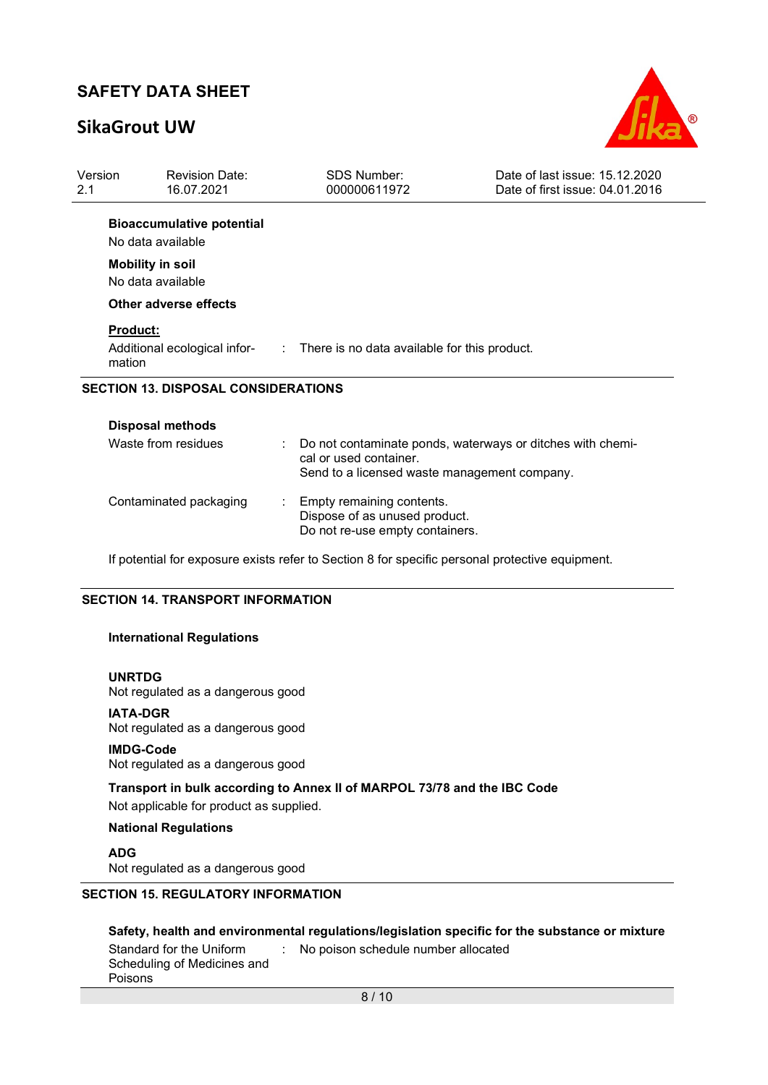## SikaGrout UW



| Version<br>2.1            | <b>Revision Date:</b><br>16.07.2021                   | <b>SDS Number:</b><br>000000611972                                                                                                   | Date of last issue: 15.12.2020<br>Date of first issue: 04.01.2016 |
|---------------------------|-------------------------------------------------------|--------------------------------------------------------------------------------------------------------------------------------------|-------------------------------------------------------------------|
|                           | <b>Bioaccumulative potential</b><br>No data available |                                                                                                                                      |                                                                   |
|                           | <b>Mobility in soil</b><br>No data available          |                                                                                                                                      |                                                                   |
|                           | Other adverse effects                                 |                                                                                                                                      |                                                                   |
| <b>Product:</b><br>mation | Additional ecological infor-                          | $\therefore$ There is no data available for this product.                                                                            |                                                                   |
|                           | <b>SECTION 13. DISPOSAL CONSIDERATIONS</b>            |                                                                                                                                      |                                                                   |
|                           | <b>Disposal methods</b>                               |                                                                                                                                      |                                                                   |
|                           | Waste from residues                                   | Do not contaminate ponds, waterways or ditches with chemi-<br>cal or used container.<br>Send to a licensed waste management company. |                                                                   |
|                           | Contaminated packaging                                | Empty remaining contents.<br>Dispose of as unused product.<br>Do not re-use empty containers.                                        |                                                                   |

If potential for exposure exists refer to Section 8 for specific personal protective equipment.

#### SECTION 14. TRANSPORT INFORMATION

#### International Regulations

#### UNRTDG

Not regulated as a dangerous good

#### IATA-DGR

Not regulated as a dangerous good

#### IMDG-Code

Not regulated as a dangerous good

### Transport in bulk according to Annex II of MARPOL 73/78 and the IBC Code

Not applicable for product as supplied.

#### National Regulations

ADG Not regulated as a dangerous good

### SECTION 15. REGULATORY INFORMATION

### Safety, health and environmental regulations/legislation specific for the substance or mixture

| Standard for the Uniform    | : No poison schedule number allocated |
|-----------------------------|---------------------------------------|
| Scheduling of Medicines and |                                       |
| Poisons                     |                                       |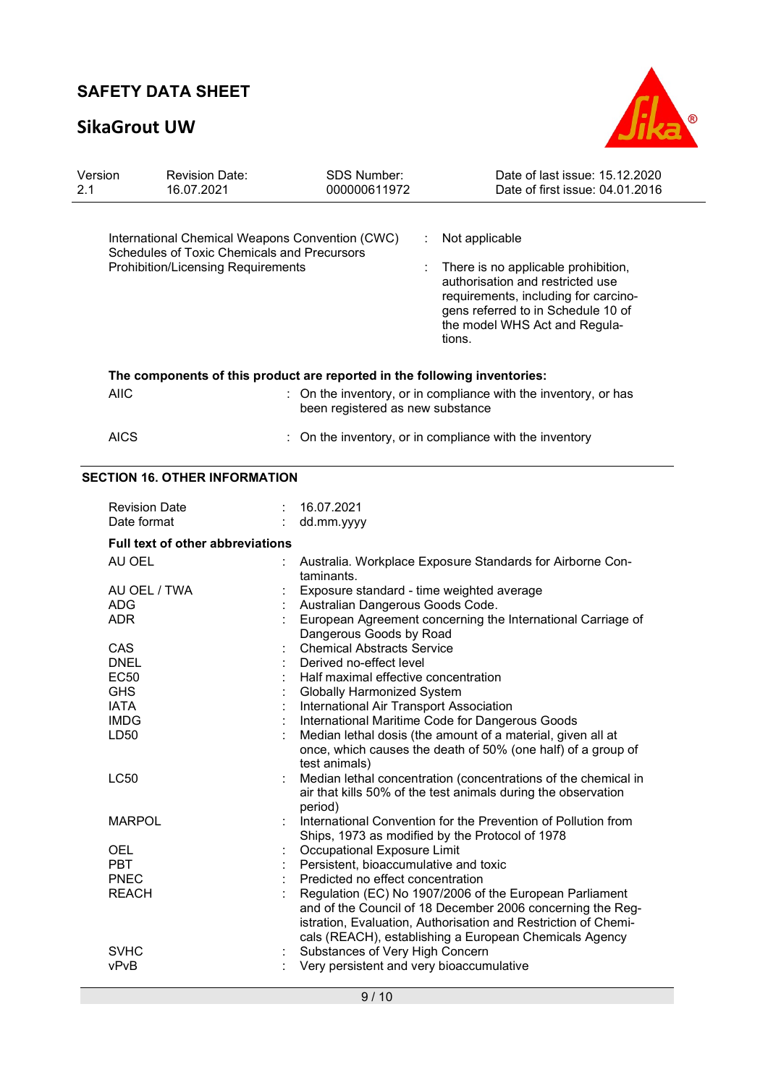# SikaGrout UW



| Version<br>2.1 | <b>Revision Date:</b><br>16.07.2021                                                                                                                | <b>SDS Number:</b><br>000000611972                              | Date of last issue: 15.12.2020<br>Date of first issue: 04.01.2016                                                                                                                                                                                 |  |  |
|----------------|----------------------------------------------------------------------------------------------------------------------------------------------------|-----------------------------------------------------------------|---------------------------------------------------------------------------------------------------------------------------------------------------------------------------------------------------------------------------------------------------|--|--|
|                | International Chemical Weapons Convention (CWC)<br><b>Schedules of Toxic Chemicals and Precursors</b><br><b>Prohibition/Licensing Requirements</b> |                                                                 | Not applicable<br>÷<br>There is no applicable prohibition,<br>authorisation and restricted use<br>requirements, including for carcino-<br>gens referred to in Schedule 10 of<br>the model WHS Act and Regula-<br>tions.                           |  |  |
|                | The components of this product are reported in the following inventories:                                                                          |                                                                 |                                                                                                                                                                                                                                                   |  |  |
|                | <b>AIIC</b>                                                                                                                                        | been registered as new substance                                | : On the inventory, or in compliance with the inventory, or has                                                                                                                                                                                   |  |  |
|                | <b>AICS</b>                                                                                                                                        |                                                                 | On the inventory, or in compliance with the inventory                                                                                                                                                                                             |  |  |
|                | <b>SECTION 16. OTHER INFORMATION</b>                                                                                                               |                                                                 |                                                                                                                                                                                                                                                   |  |  |
|                | <b>Revision Date</b><br>Date format                                                                                                                | 16.07.2021<br>dd.mm.yyyy                                        |                                                                                                                                                                                                                                                   |  |  |
|                | <b>Full text of other abbreviations</b>                                                                                                            |                                                                 |                                                                                                                                                                                                                                                   |  |  |
|                | AU OEL                                                                                                                                             | taminants.                                                      | Australia. Workplace Exposure Standards for Airborne Con-                                                                                                                                                                                         |  |  |
|                | AU OEL / TWA                                                                                                                                       |                                                                 | Exposure standard - time weighted average                                                                                                                                                                                                         |  |  |
|                | <b>ADG</b><br><b>ADR</b>                                                                                                                           |                                                                 | Australian Dangerous Goods Code.<br>European Agreement concerning the International Carriage of                                                                                                                                                   |  |  |
|                |                                                                                                                                                    | Dangerous Goods by Road                                         |                                                                                                                                                                                                                                                   |  |  |
|                | CAS                                                                                                                                                | <b>Chemical Abstracts Service</b>                               |                                                                                                                                                                                                                                                   |  |  |
|                | <b>DNEL</b>                                                                                                                                        | Derived no-effect level<br>Half maximal effective concentration |                                                                                                                                                                                                                                                   |  |  |
|                | EC <sub>50</sub><br><b>GHS</b>                                                                                                                     | <b>Globally Harmonized System</b>                               |                                                                                                                                                                                                                                                   |  |  |
|                | <b>IATA</b>                                                                                                                                        | International Air Transport Association                         |                                                                                                                                                                                                                                                   |  |  |
|                | <b>IMDG</b>                                                                                                                                        |                                                                 | International Maritime Code for Dangerous Goods                                                                                                                                                                                                   |  |  |
|                | LD <sub>50</sub>                                                                                                                                   | test animals)                                                   | Median lethal dosis (the amount of a material, given all at<br>once, which causes the death of 50% (one half) of a group of                                                                                                                       |  |  |
|                | <b>LC50</b>                                                                                                                                        | period)                                                         | Median lethal concentration (concentrations of the chemical in<br>air that kills 50% of the test animals during the observation                                                                                                                   |  |  |
|                | <b>MARPOL</b>                                                                                                                                      |                                                                 | International Convention for the Prevention of Pollution from<br>Ships, 1973 as modified by the Protocol of 1978                                                                                                                                  |  |  |
|                | <b>OEL</b>                                                                                                                                         | Occupational Exposure Limit                                     |                                                                                                                                                                                                                                                   |  |  |
|                | <b>PBT</b>                                                                                                                                         | Persistent, bioaccumulative and toxic                           |                                                                                                                                                                                                                                                   |  |  |
|                | <b>PNEC</b>                                                                                                                                        | Predicted no effect concentration                               |                                                                                                                                                                                                                                                   |  |  |
|                | <b>REACH</b>                                                                                                                                       |                                                                 | Regulation (EC) No 1907/2006 of the European Parliament<br>and of the Council of 18 December 2006 concerning the Reg-<br>istration, Evaluation, Authorisation and Restriction of Chemi-<br>cals (REACH), establishing a European Chemicals Agency |  |  |
|                | <b>SVHC</b>                                                                                                                                        | Substances of Very High Concern                                 |                                                                                                                                                                                                                                                   |  |  |
|                | vPvB                                                                                                                                               | Very persistent and very bioaccumulative                        |                                                                                                                                                                                                                                                   |  |  |
|                |                                                                                                                                                    |                                                                 |                                                                                                                                                                                                                                                   |  |  |

9 / 10